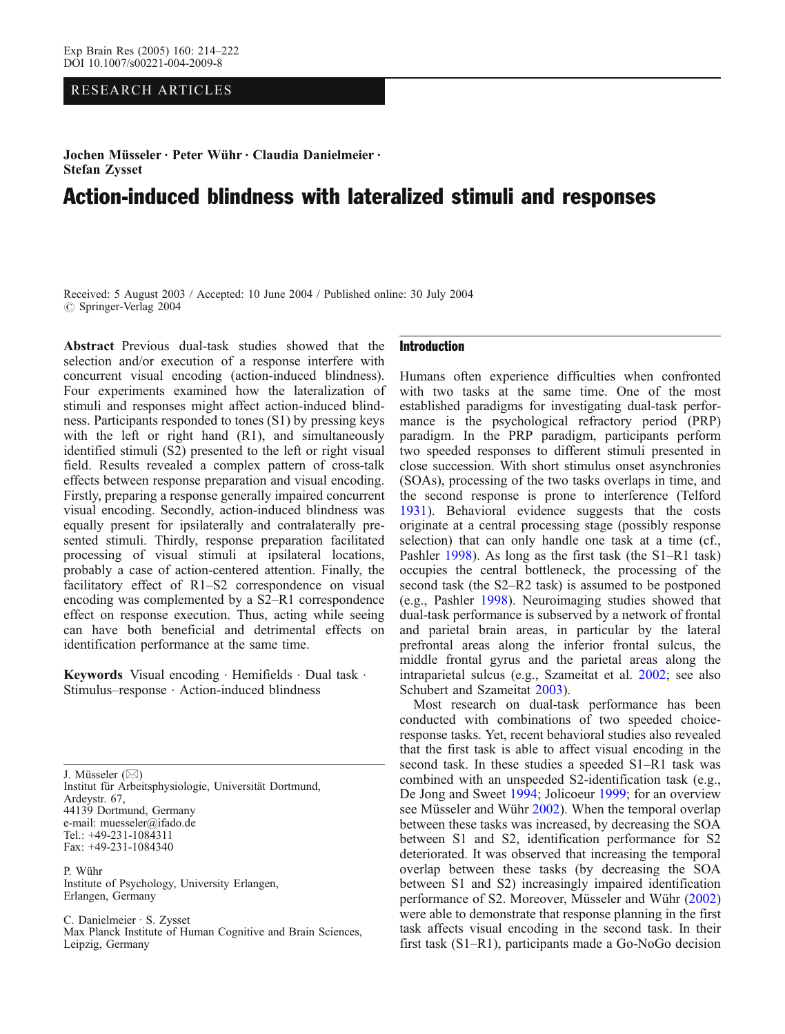# RESEARCH ARTICLES

Jochen Müsseler . Peter Wühr . Claudia Danielmeier . Stefan Zysset

# Action-induced blindness with lateralized stimuli and responses

Received: 5 August 2003 / Accepted: 10 June 2004 / Published online: 30 July 2004 *#* Springer-Verlag 2004

Abstract Previous dual-task studies showed that the selection and/or execution of a response interfere with concurrent visual encoding (action-induced blindness). Four experiments examined how the lateralization of stimuli and responses might affect action-induced blindness. Participants responded to tones (S1) by pressing keys with the left or right hand (R1), and simultaneously identified stimuli (S2) presented to the left or right visual field. Results revealed a complex pattern of cross-talk effects between response preparation and visual encoding. Firstly, preparing a response generally impaired concurrent visual encoding. Secondly, action-induced blindness was equally present for ipsilaterally and contralaterally presented stimuli. Thirdly, response preparation facilitated processing of visual stimuli at ipsilateral locations, probably a case of action-centered attention. Finally, the facilitatory effect of R1–S2 correspondence on visual encoding was complemented by a S2–R1 correspondence effect on response execution. Thus, acting while seeing can have both beneficial and detrimental effects on identification performance at the same time.

Keywords Visual encoding · Hemifields · Dual task · Stimulus–response . Action-induced blindness

J. Müsseler (*\**) Institut für Arbeitsphysiologie, Universität Dortmund, Ardeystr. 67, 44139 Dortmund, Germany e-mail: muesseler@ifado.de Tel.: +49-231-1084311 Fax: +49-231-1084340

P. Wühr Institute of Psychology, University Erlangen, Erlangen, Germany

C. Danielmeier . S. Zysset Max Planck Institute of Human Cognitive and Brain Sciences, Leipzig, Germany

# Introduction

Humans often experience difficulties when confronted with two tasks at the same time. One of the most established paradigms for investigating dual-task performance is the psychological refractory period (PRP) paradigm. In the PRP paradigm, participants perform two speeded responses to different stimuli presented in close succession. With short stimulus onset asynchronies (SOAs), processing of the two tasks overlaps in time, and the second response is prone to interference (Telford [1931](#page-8-0)). Behavioral evidence suggests that the costs originate at a central processing stage (possibly response selection) that can only handle one task at a time (cf., Pashler [1998](#page-8-0)). As long as the first task (the S1–R1 task) occupies the central bottleneck, the processing of the second task (the S2–R2 task) is assumed to be postponed (e.g., Pashler [1998](#page-8-0)). Neuroimaging studies showed that dual-task performance is subserved by a network of frontal and parietal brain areas, in particular by the lateral prefrontal areas along the inferior frontal sulcus, the middle frontal gyrus and the parietal areas along the intraparietal sulcus (e.g., Szameitat et al. [2002;](#page-8-0) see also Schubert and Szameitat [2003](#page-8-0)).

Most research on dual-task performance has been conducted with combinations of two speeded choiceresponse tasks. Yet, recent behavioral studies also revealed that the first task is able to affect visual encoding in the second task. In these studies a speeded S1–R1 task was combined with an unspeeded S2-identification task (e.g., De Jong and Sweet [1994;](#page-8-0) Jolicoeur [1999](#page-8-0); for an overview see Müsseler and Wühr [2002\)](#page-8-0). When the temporal overlap between these tasks was increased, by decreasing the SOA between S1 and S2, identification performance for S2 deteriorated. It was observed that increasing the temporal overlap between these tasks (by decreasing the SOA between S1 and S2) increasingly impaired identification performance of S2. Moreover, Müsseler and Wühr ([2002\)](#page-8-0) were able to demonstrate that response planning in the first task affects visual encoding in the second task. In their first task (S1–R1), participants made a Go-NoGo decision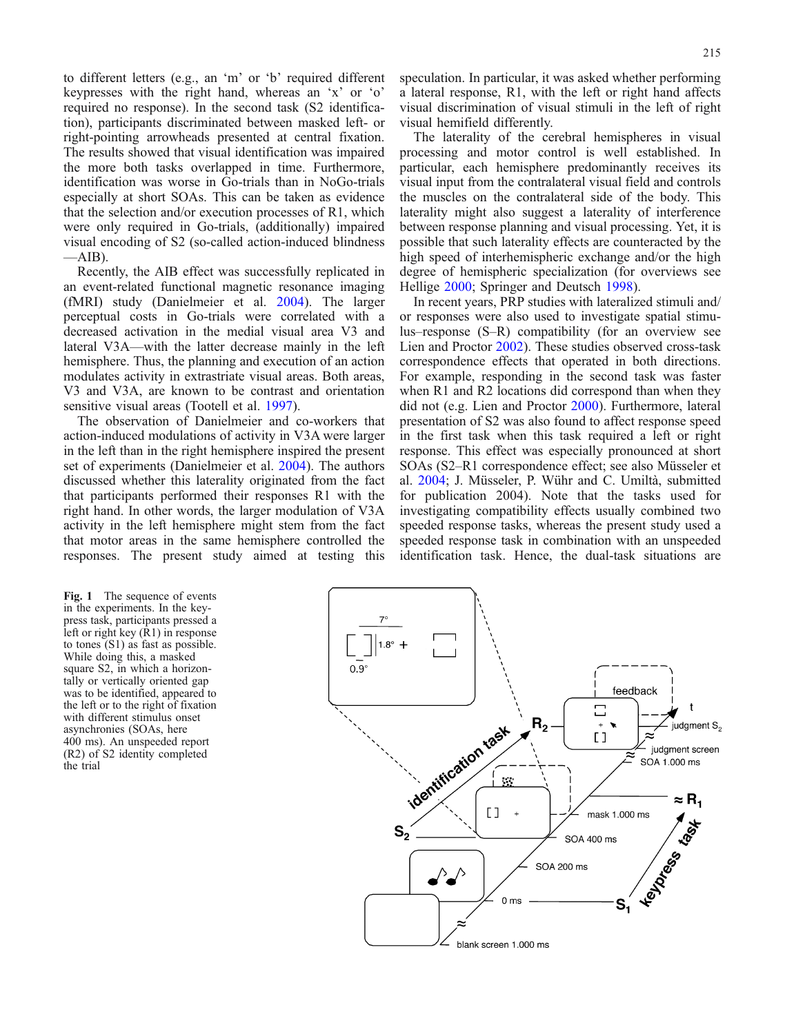<span id="page-1-0"></span>to different letters (e.g., an 'm' or 'b' required different keypresses with the right hand, whereas an 'x' or 'o' required no response). In the second task (S2 identification), participants discriminated between masked left- or right-pointing arrowheads presented at central fixation. The results showed that visual identification was impaired the more both tasks overlapped in time. Furthermore, identification was worse in Go-trials than in NoGo-trials especially at short SOAs. This can be taken as evidence that the selection and/or execution processes of R1, which were only required in Go-trials, (additionally) impaired visual encoding of S2 (so-called action-induced blindness  $-AB$ ).

Recently, the AIB effect was successfully replicated in an event-related functional magnetic resonance imaging (fMRI) study (Danielmeier et al. [2004\)](#page-8-0). The larger perceptual costs in Go-trials were correlated with a decreased activation in the medial visual area V3 and lateral V3A—with the latter decrease mainly in the left hemisphere. Thus, the planning and execution of an action modulates activity in extrastriate visual areas. Both areas, V3 and V3A, are known to be contrast and orientation sensitive visual areas (Tootell et al. [1997](#page-8-0)).

The observation of Danielmeier and co-workers that action-induced modulations of activity in V3A were larger in the left than in the right hemisphere inspired the present set of experiments (Danielmeier et al. [2004](#page-8-0)). The authors discussed whether this laterality originated from the fact that participants performed their responses R1 with the right hand. In other words, the larger modulation of V3A activity in the left hemisphere might stem from the fact that motor areas in the same hemisphere controlled the responses. The present study aimed at testing this speculation. In particular, it was asked whether performing a lateral response, R1, with the left or right hand affects visual discrimination of visual stimuli in the left of right visual hemifield differently.

The laterality of the cerebral hemispheres in visual processing and motor control is well established. In particular, each hemisphere predominantly receives its visual input from the contralateral visual field and controls the muscles on the contralateral side of the body. This laterality might also suggest a laterality of interference between response planning and visual processing. Yet, it is possible that such laterality effects are counteracted by the high speed of interhemispheric exchange and/or the high degree of hemispheric specialization (for overviews see Hellige [2000](#page-8-0); Springer and Deutsch [1998](#page-8-0)).

In recent years, PRP studies with lateralized stimuli and/ or responses were also used to investigate spatial stimulus–response (S–R) compatibility (for an overview see Lien and Proctor [2002](#page-8-0)). These studies observed cross-task correspondence effects that operated in both directions. For example, responding in the second task was faster when R1 and R2 locations did correspond than when they did not (e.g. Lien and Proctor [2000](#page-8-0)). Furthermore, lateral presentation of S2 was also found to affect response speed in the first task when this task required a left or right response. This effect was especially pronounced at short SOAs (S2–R1 correspondence effect; see also Müsseler et al. [2004](#page-8-0); J. Müsseler, P. Wühr and C. Umiltà, submitted for publication 2004). Note that the tasks used for investigating compatibility effects usually combined two speeded response tasks, whereas the present study used a speeded response task in combination with an unspeeded identification task. Hence, the dual-task situations are

Fig. 1 The sequence of events in the experiments. In the keypress task, participants pressed a left or right key (R1) in response to tones (S1) as fast as possible. While doing this, a masked square S2, in which a horizontally or vertically oriented gap was to be identified, appeared to the left or to the right of fixation with different stimulus onset asynchronies (SOAs, here 400 ms). An unspeeded report (R2) of S2 identity completed the trial

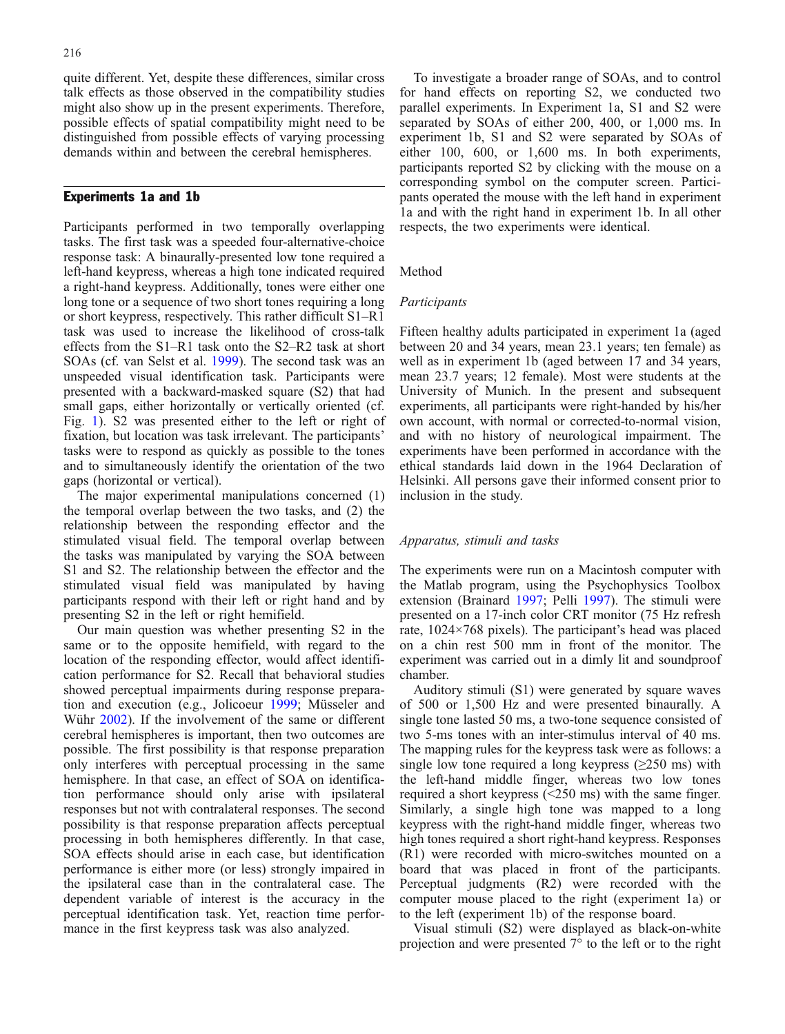quite different. Yet, despite these differences, similar cross talk effects as those observed in the compatibility studies might also show up in the present experiments. Therefore, possible effects of spatial compatibility might need to be distinguished from possible effects of varying processing demands within and between the cerebral hemispheres.

# Experiments 1a and 1b

Participants performed in two temporally overlapping tasks. The first task was a speeded four-alternative-choice response task: A binaurally-presented low tone required a left-hand keypress, whereas a high tone indicated required a right-hand keypress. Additionally, tones were either one long tone or a sequence of two short tones requiring a long or short keypress, respectively. This rather difficult S1–R1 task was used to increase the likelihood of cross-talk effects from the S1–R1 task onto the S2–R2 task at short SOAs (cf. van Selst et al. [1999](#page-8-0)). The second task was an unspeeded visual identification task. Participants were presented with a backward-masked square (S2) that had small gaps, either horizontally or vertically oriented (cf. Fig. [1\)](#page-1-0). S2 was presented either to the left or right of fixation, but location was task irrelevant. The participants' tasks were to respond as quickly as possible to the tones and to simultaneously identify the orientation of the two gaps (horizontal or vertical).

The major experimental manipulations concerned (1) the temporal overlap between the two tasks, and (2) the relationship between the responding effector and the stimulated visual field. The temporal overlap between the tasks was manipulated by varying the SOA between S1 and S2. The relationship between the effector and the stimulated visual field was manipulated by having participants respond with their left or right hand and by presenting S2 in the left or right hemifield.

Our main question was whether presenting S2 in the same or to the opposite hemifield, with regard to the location of the responding effector, would affect identification performance for S2. Recall that behavioral studies showed perceptual impairments during response preparation and execution (e.g., Jolicoeur [1999;](#page-8-0) Müsseler and Wühr [2002\)](#page-8-0). If the involvement of the same or different cerebral hemispheres is important, then two outcomes are possible. The first possibility is that response preparation only interferes with perceptual processing in the same hemisphere. In that case, an effect of SOA on identification performance should only arise with ipsilateral responses but not with contralateral responses. The second possibility is that response preparation affects perceptual processing in both hemispheres differently. In that case, SOA effects should arise in each case, but identification performance is either more (or less) strongly impaired in the ipsilateral case than in the contralateral case. The dependent variable of interest is the accuracy in the perceptual identification task. Yet, reaction time performance in the first keypress task was also analyzed.

To investigate a broader range of SOAs, and to control for hand effects on reporting S2, we conducted two parallel experiments. In Experiment 1a, S1 and S2 were separated by SOAs of either 200, 400, or 1,000 ms. In experiment 1b, S1 and S2 were separated by SOAs of either 100, 600, or 1,600 ms. In both experiments, participants reported S2 by clicking with the mouse on a corresponding symbol on the computer screen. Participants operated the mouse with the left hand in experiment 1a and with the right hand in experiment 1b. In all other respects, the two experiments were identical.

#### Method

# Participants

Fifteen healthy adults participated in experiment 1a (aged between 20 and 34 years, mean 23.1 years; ten female) as well as in experiment 1b (aged between 17 and 34 years, mean 23.7 years; 12 female). Most were students at the University of Munich. In the present and subsequent experiments, all participants were right-handed by his/her own account, with normal or corrected-to-normal vision, and with no history of neurological impairment. The experiments have been performed in accordance with the ethical standards laid down in the 1964 Declaration of Helsinki. All persons gave their informed consent prior to inclusion in the study.

## Apparatus, stimuli and tasks

The experiments were run on a Macintosh computer with the Matlab program, using the Psychophysics Toolbox extension (Brainard [1997](#page-8-0); Pelli [1997](#page-8-0)). The stimuli were presented on a 17-inch color CRT monitor (75 Hz refresh rate, 1024×768 pixels). The participant's head was placed on a chin rest 500 mm in front of the monitor. The experiment was carried out in a dimly lit and soundproof chamber.

Auditory stimuli (S1) were generated by square waves of 500 or 1,500 Hz and were presented binaurally. A single tone lasted 50 ms, a two-tone sequence consisted of two 5-ms tones with an inter-stimulus interval of 40 ms. The mapping rules for the keypress task were as follows: a single low tone required a long keypress ( $\geq$ 250 ms) with the left-hand middle finger, whereas two low tones required a short keypress (<250 ms) with the same finger. Similarly, a single high tone was mapped to a long keypress with the right-hand middle finger, whereas two high tones required a short right-hand keypress. Responses (R1) were recorded with micro-switches mounted on a board that was placed in front of the participants. Perceptual judgments (R2) were recorded with the computer mouse placed to the right (experiment 1a) or to the left (experiment 1b) of the response board.

Visual stimuli (S2) were displayed as black-on-white projection and were presented 7° to the left or to the right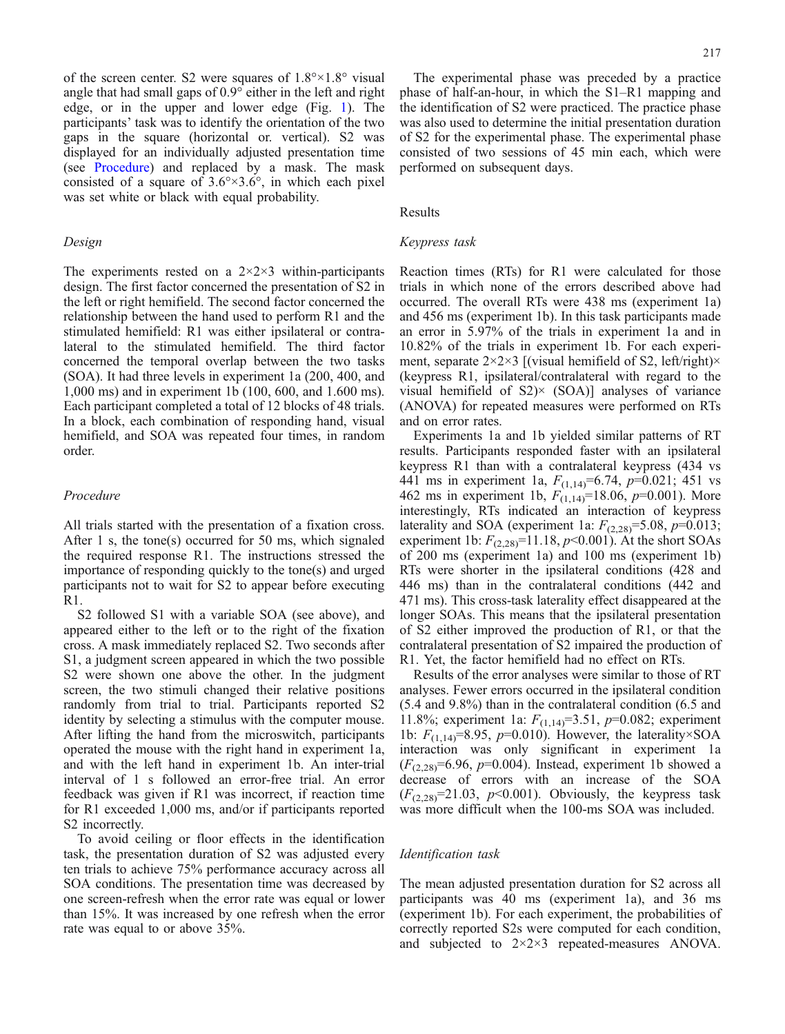of the screen center. S2 were squares of  $1.8^{\circ} \times 1.8^{\circ}$  visual angle that had small gaps of 0.9° either in the left and right edge, or in the upper and lower edge (Fig. [1\)](#page-1-0). The participants' task was to identify the orientation of the two gaps in the square (horizontal or. vertical). S2 was displayed for an individually adjusted presentation time (see Procedure) and replaced by a mask. The mask consisted of a square of  $3.6^{\circ} \times 3.6^{\circ}$ , in which each pixel was set white or black with equal probability.

# Design

The experiments rested on a  $2 \times 2 \times 3$  within-participants design. The first factor concerned the presentation of S2 in the left or right hemifield. The second factor concerned the relationship between the hand used to perform R1 and the stimulated hemifield: R1 was either ipsilateral or contralateral to the stimulated hemifield. The third factor concerned the temporal overlap between the two tasks (SOA). It had three levels in experiment 1a (200, 400, and 1,000 ms) and in experiment 1b (100, 600, and 1.600 ms). Each participant completed a total of 12 blocks of 48 trials. In a block, each combination of responding hand, visual hemifield, and SOA was repeated four times, in random order.

#### Procedure

All trials started with the presentation of a fixation cross. After 1 s, the tone(s) occurred for 50 ms, which signaled the required response R1. The instructions stressed the importance of responding quickly to the tone(s) and urged participants not to wait for S2 to appear before executing R1.

S2 followed S1 with a variable SOA (see above), and appeared either to the left or to the right of the fixation cross. A mask immediately replaced S2. Two seconds after S1, a judgment screen appeared in which the two possible S2 were shown one above the other. In the judgment screen, the two stimuli changed their relative positions randomly from trial to trial. Participants reported S2 identity by selecting a stimulus with the computer mouse. After lifting the hand from the microswitch, participants operated the mouse with the right hand in experiment 1a, and with the left hand in experiment 1b. An inter-trial interval of 1 s followed an error-free trial. An error feedback was given if R1 was incorrect, if reaction time for R1 exceeded 1,000 ms, and/or if participants reported S2 incorrectly.

To avoid ceiling or floor effects in the identification task, the presentation duration of S2 was adjusted every ten trials to achieve 75% performance accuracy across all SOA conditions. The presentation time was decreased by one screen-refresh when the error rate was equal or lower than 15%. It was increased by one refresh when the error rate was equal to or above 35%.

The experimental phase was preceded by a practice phase of half-an-hour, in which the S1–R1 mapping and the identification of S2 were practiced. The practice phase was also used to determine the initial presentation duration of S2 for the experimental phase. The experimental phase consisted of two sessions of 45 min each, which were performed on subsequent days.

#### Results

# Keypress task

Reaction times (RTs) for R1 were calculated for those trials in which none of the errors described above had occurred. The overall RTs were 438 ms (experiment 1a) and 456 ms (experiment 1b). In this task participants made an error in 5.97% of the trials in experiment 1a and in 10.82% of the trials in experiment 1b. For each experiment, separate  $2\times2\times3$  [(visual hemifield of S2, left/right) $\times$ (keypress R1, ipsilateral/contralateral with regard to the visual hemifield of  $S2$ <sup> $\times$ </sup> (SOA)] analyses of variance (ANOVA) for repeated measures were performed on RTs and on error rates.

Experiments 1a and 1b yielded similar patterns of RT results. Participants responded faster with an ipsilateral keypress R1 than with a contralateral keypress (434 vs 441 ms in experiment 1a,  $F_{(1,14)}=6.74$ ,  $p=0.021$ ; 451 vs 462 ms in experiment 1b,  $F_{(1,14)}$ =18.06,  $p$ =0.001). More interestingly, RTs indicated an interaction of keypress laterality and SOA (experiment 1a:  $F_{(2,28)} = 5.08$ ,  $p=0.013$ ; experiment 1b:  $F_{(2,28)}$ =11.18,  $p$ <0.001). At the short SOAs of 200 ms (experiment 1a) and 100 ms (experiment 1b) RTs were shorter in the ipsilateral conditions (428 and 446 ms) than in the contralateral conditions (442 and 471 ms). This cross-task laterality effect disappeared at the longer SOAs. This means that the ipsilateral presentation of S2 either improved the production of R1, or that the contralateral presentation of S2 impaired the production of R1. Yet, the factor hemifield had no effect on RTs.

Results of the error analyses were similar to those of RT analyses. Fewer errors occurred in the ipsilateral condition (5.4 and 9.8%) than in the contralateral condition (6.5 and 11.8%; experiment 1a:  $F_{(1,14)}=3.51$ ,  $p=0.082$ ; experiment 1b:  $F_{(1,14)}=8.95$ ,  $p=0.010$ ). However, the laterality×SOA interaction was only significant in experiment 1a  $(F_{(2,28)}=6.96, p=0.004)$ . Instead, experiment 1b showed a decrease of errors with an increase of the SOA  $(F_{(2,28)}=21.03, p<0.001)$ . Obviously, the keypress task was more difficult when the 100-ms SOA was included.

#### Identification task

The mean adjusted presentation duration for S2 across all participants was 40 ms (experiment 1a), and 36 ms (experiment 1b). For each experiment, the probabilities of correctly reported S2s were computed for each condition, and subjected to 2×2×3 repeated-measures ANOVA.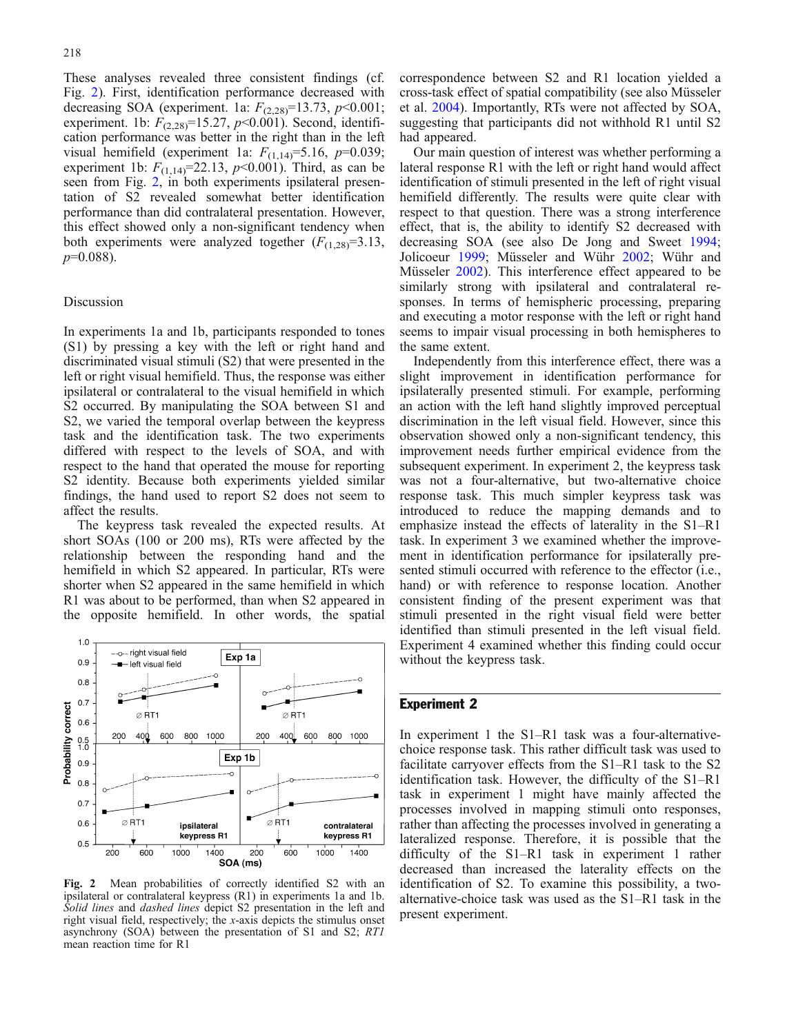These analyses revealed three consistent findings (cf. Fig. 2). First, identification performance decreased with decreasing SOA (experiment. 1a:  $F_{(2,28)}$ =13.73, p<0.001; experiment. 1b:  $F_{(2,28)}$ =15.27,  $p$ <0.001). Second, identification performance was better in the right than in the left visual hemifield (experiment 1a:  $F_{(1,14)} = 5.16$ ,  $p=0.039$ ; experiment 1b:  $F_{(1,14)} = 22.13$ ,  $p < 0.001$ ). Third, as can be seen from Fig. 2, in both experiments ipsilateral presentation of S2 revealed somewhat better identification performance than did contralateral presentation. However, this effect showed only a non-significant tendency when both experiments were analyzed together  $(F_{(1,28)}=3.13)$ ,  $p=0.088$ ).

#### Discussion

In experiments 1a and 1b, participants responded to tones (S1) by pressing a key with the left or right hand and discriminated visual stimuli (S2) that were presented in the left or right visual hemifield. Thus, the response was either ipsilateral or contralateral to the visual hemifield in which S2 occurred. By manipulating the SOA between S1 and S2, we varied the temporal overlap between the keypress task and the identification task. The two experiments differed with respect to the levels of SOA, and with respect to the hand that operated the mouse for reporting S2 identity. Because both experiments yielded similar findings, the hand used to report S2 does not seem to affect the results.

The keypress task revealed the expected results. At short SOAs (100 or 200 ms), RTs were affected by the relationship between the responding hand and the hemifield in which S2 appeared. In particular, RTs were shorter when S2 appeared in the same hemifield in which R1 was about to be performed, than when S2 appeared in the opposite hemifield. In other words, the spatial



Fig. 2 Mean probabilities of correctly identified S2 with an ipsilateral or contralateral keypress (R1) in experiments 1a and 1b. Solid lines and dashed lines depict S2 presentation in the left and right visual field, respectively; the x-axis depicts the stimulus onset asynchrony (SOA) between the presentation of S1 and S2; RT1 mean reaction time for R1

correspondence between S2 and R1 location yielded a cross-task effect of spatial compatibility (see also Müsseler et al. [2004\)](#page-8-0). Importantly, RTs were not affected by SOA, suggesting that participants did not withhold R1 until S2 had appeared.

Our main question of interest was whether performing a lateral response R1 with the left or right hand would affect identification of stimuli presented in the left of right visual hemifield differently. The results were quite clear with respect to that question. There was a strong interference effect, that is, the ability to identify S2 decreased with decreasing SOA (see also De Jong and Sweet [1994](#page-8-0); Jolicoeur [1999](#page-8-0); Müsseler and Wühr [2002](#page-8-0); Wühr and Müsseler [2002\)](#page-8-0). This interference effect appeared to be similarly strong with ipsilateral and contralateral responses. In terms of hemispheric processing, preparing and executing a motor response with the left or right hand seems to impair visual processing in both hemispheres to the same extent.

Independently from this interference effect, there was a slight improvement in identification performance for ipsilaterally presented stimuli. For example, performing an action with the left hand slightly improved perceptual discrimination in the left visual field. However, since this observation showed only a non-significant tendency, this improvement needs further empirical evidence from the subsequent experiment. In experiment 2, the keypress task was not a four-alternative, but two-alternative choice response task. This much simpler keypress task was introduced to reduce the mapping demands and to emphasize instead the effects of laterality in the S1–R1 task. In experiment 3 we examined whether the improvement in identification performance for ipsilaterally presented stimuli occurred with reference to the effector (i.e., hand) or with reference to response location. Another consistent finding of the present experiment was that stimuli presented in the right visual field were better identified than stimuli presented in the left visual field. Experiment 4 examined whether this finding could occur without the keypress task.

# Experiment 2

In experiment 1 the S1–R1 task was a four-alternativechoice response task. This rather difficult task was used to facilitate carryover effects from the S1–R1 task to the S2 identification task. However, the difficulty of the S1–R1 task in experiment 1 might have mainly affected the processes involved in mapping stimuli onto responses, rather than affecting the processes involved in generating a lateralized response. Therefore, it is possible that the difficulty of the S1–R1 task in experiment 1 rather decreased than increased the laterality effects on the identification of S2. To examine this possibility, a twoalternative-choice task was used as the S1–R1 task in the present experiment.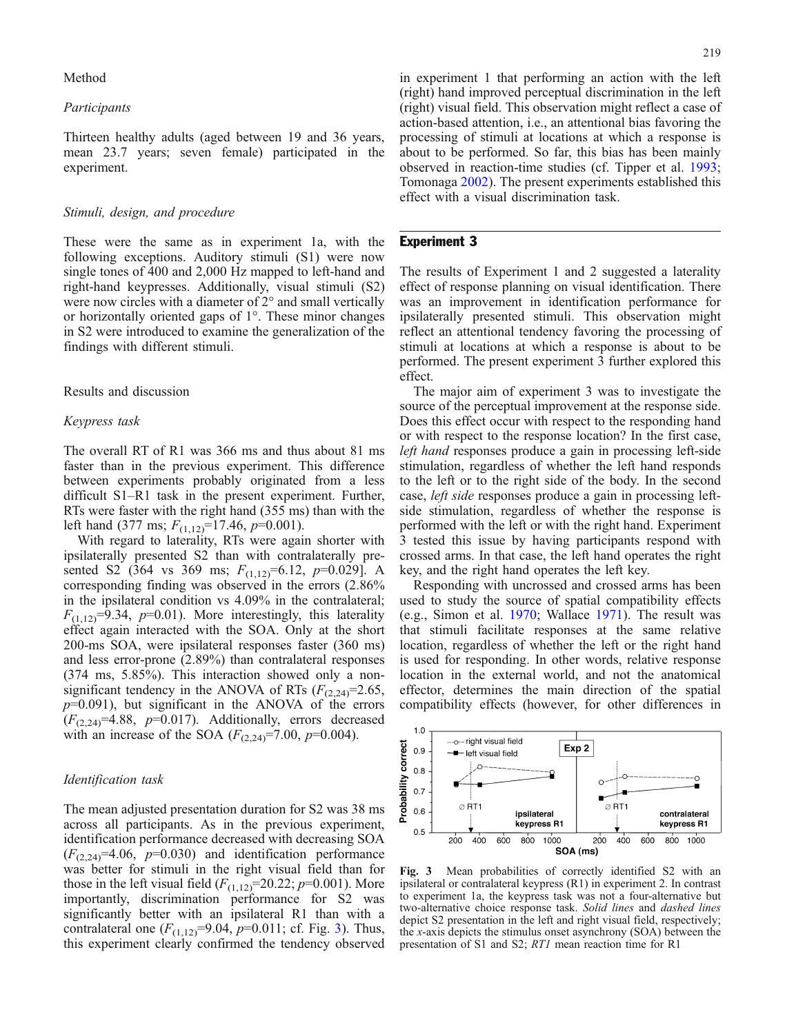Method

# Participants

Thirteen healthy adults (aged between 19 and 36 years, mean 23.7 years; seven female) participated in the experiment.

# Stimuli, design, and procedure

These were the same as in experiment 1a, with the following exceptions. Auditory stimuli (S1) were now single tones of 400 and 2,000 Hz mapped to left-hand and right-hand keypresses. Additionally, visual stimuli (S2) were now circles with a diameter of 2° and small vertically or horizontally oriented gaps of 1°. These minor changes in S2 were introduced to examine the generalization of the findings with different stimuli.

#### Results and discussion

#### Keypress task

The overall RT of R1 was 366 ms and thus about 81 ms faster than in the previous experiment. This difference between experiments probably originated from a less difficult S1–R1 task in the present experiment. Further, RTs were faster with the right hand (355 ms) than with the left hand (377 ms;  $F_{(1,12)}$ =17.46, p=0.001).

With regard to laterality, RTs were again shorter with ipsilaterally presented S2 than with contralaterally presented S2 (364 vs 369 ms;  $F_{(1,12)}=6.12$ ,  $p=0.029$ ]. A corresponding finding was observed in the errors (2.86% in the ipsilateral condition vs 4.09% in the contralateral;  $F_{(1,12)}=9.34$ ,  $p=0.01$ ). More interestingly, this laterality effect again interacted with the SOA. Only at the short 200-ms SOA, were ipsilateral responses faster (360 ms) and less error-prone (2.89%) than contralateral responses (374 ms, 5.85%). This interaction showed only a nonsignificant tendency in the ANOVA of RTs  $(F_{(2,24)}=2.65,$  $p=0.091$ ), but significant in the ANOVA of the errors  $(F_{(2,24)}=4.88, p=0.017)$ . Additionally, errors decreased with an increase of the SOA  $(F_{(2,24)}=7.00, p=0.004)$ .

# Identification task

The mean adjusted presentation duration for S2 was 38 ms across all participants. As in the previous experiment, identification performance decreased with decreasing SOA  $(F_{(2,24)}=4.06, p=0.030)$  and identification performance was better for stimuli in the right visual field than for those in the left visual field  $(F_{(1,12)}=20.22; p=0.001)$ . More importantly, discrimination performance for S2 was significantly better with an ipsilateral R1 than with a contralateral one  $(F_{(1,12)}=9.04, p=0.011; \text{ cf. Fig. 3}).$  Thus, this experiment clearly confirmed the tendency observed

in experiment 1 that performing an action with the left (right) hand improved perceptual discrimination in the left (right) visual field. This observation might reflect a case of action-based attention, i.e., an attentional bias favoring the processing of stimuli at locations at which a response is about to be performed. So far, this bias has been mainly observed in reaction-time studies (cf. Tipper et al. [1993](#page-8-0); Tomonaga [2002\)](#page-8-0). The present experiments established this effect with a visual discrimination task.

#### Experiment 3

The results of Experiment 1 and 2 suggested a laterality effect of response planning on visual identification. There was an improvement in identification performance for ipsilaterally presented stimuli. This observation might reflect an attentional tendency favoring the processing of stimuli at locations at which a response is about to be performed. The present experiment 3 further explored this effect.

The major aim of experiment 3 was to investigate the source of the perceptual improvement at the response side. Does this effect occur with respect to the responding hand or with respect to the response location? In the first case, left hand responses produce a gain in processing left-side stimulation, regardless of whether the left hand responds to the left or to the right side of the body. In the second case, left side responses produce a gain in processing leftside stimulation, regardless of whether the response is performed with the left or with the right hand. Experiment 3 tested this issue by having participants respond with crossed arms. In that case, the left hand operates the right key, and the right hand operates the left key.

Responding with uncrossed and crossed arms has been used to study the source of spatial compatibility effects (e.g., Simon et al. [1970](#page-8-0); Wallace [1971\)](#page-8-0). The result was that stimuli facilitate responses at the same relative location, regardless of whether the left or the right hand is used for responding. In other words, relative response location in the external world, and not the anatomical effector, determines the main direction of the spatial compatibility effects (however, for other differences in



Fig. 3 Mean probabilities of correctly identified S2 with an ipsilateral or contralateral keypress (R1) in experiment 2. In contrast to experiment 1a, the keypress task was not a four-alternative but two-alternative choice response task. Solid lines and dashed lines depict S2 presentation in the left and right visual field, respectively; the x-axis depicts the stimulus onset asynchrony (SOA) between the presentation of S1 and S2; RT1 mean reaction time for R1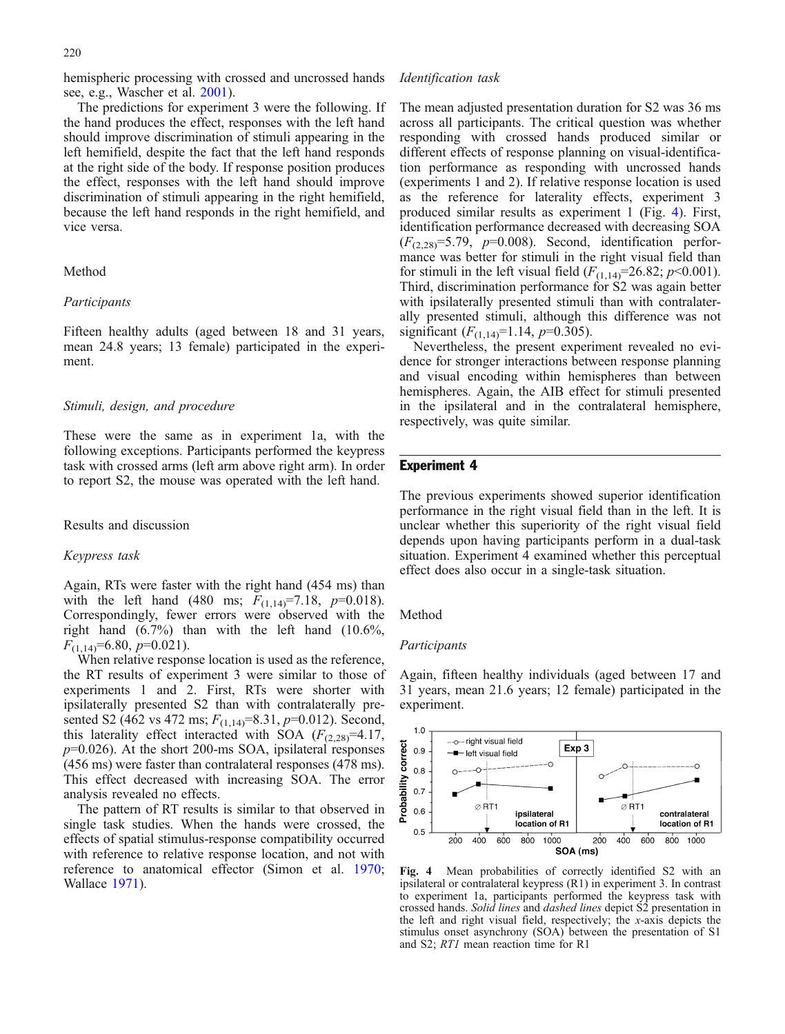220

hemispheric processing with crossed and uncrossed hands see, e.g., Wascher et al. [2001\)](#page-8-0).

The predictions for experiment 3 were the following. If the hand produces the effect, responses with the left hand should improve discrimination of stimuli appearing in the left hemifield, despite the fact that the left hand responds at the right side of the body. If response position produces the effect, responses with the left hand should improve discrimination of stimuli appearing in the right hemifield, because the left hand responds in the right hemifield, and vice versa.

#### Method

#### Participants

Fifteen healthy adults (aged between 18 and 31 years, mean 24.8 years; 13 female) participated in the experiment.

# Stimuli, design, and procedure

These were the same as in experiment 1a, with the following exceptions. Participants performed the keypress task with crossed arms (left arm above right arm). In order to report S2, the mouse was operated with the left hand.

Results and discussion

### Keypress task

Again, RTs were faster with the right hand (454 ms) than with the left hand (480 ms;  $F_{(1,14)}=7.18$ ,  $p=0.018$ ). Correspondingly, fewer errors were observed with the right hand (6.7%) than with the left hand (10.6%,  $F_{(1,14)}=6.80, p=0.021$ .

When relative response location is used as the reference, the RT results of experiment 3 were similar to those of experiments 1 and 2. First, RTs were shorter with ipsilaterally presented S2 than with contralaterally presented S2 (462 vs 472 ms;  $F_{(1,14)}=8.31, p=0.012$ ). Second, this laterality effect interacted with SOA  $(F_{(2,28)}=4.17)$ ,  $p=0.026$ ). At the short 200-ms SOA, ipsilateral responses (456 ms) were faster than contralateral responses (478 ms). This effect decreased with increasing SOA. The error analysis revealed no effects.

The pattern of RT results is similar to that observed in single task studies. When the hands were crossed, the effects of spatial stimulus-response compatibility occurred with reference to relative response location, and not with reference to anatomical effector (Simon et al. [1970](#page-8-0); Wallace [1971\)](#page-8-0).

#### Identification task

The mean adjusted presentation duration for S2 was 36 ms across all participants. The critical question was whether responding with crossed hands produced similar or different effects of response planning on visual-identification performance as responding with uncrossed hands (experiments 1 and 2). If relative response location is used as the reference for laterality effects, experiment 3 produced similar results as experiment 1 (Fig. 4). First, identification performance decreased with decreasing SOA  $(F_{(2,28)}=5.79, p=0.008)$ . Second, identification performance was better for stimuli in the right visual field than for stimuli in the left visual field  $(F_{(1,14)}=26.82; p<0.001)$ . Third, discrimination performance for S2 was again better with ipsilaterally presented stimuli than with contralaterally presented stimuli, although this difference was not significant  $(F_{(1,14)}=1.14, p=0.305)$ .

Nevertheless, the present experiment revealed no evidence for stronger interactions between response planning and visual encoding within hemispheres than between hemispheres. Again, the AIB effect for stimuli presented in the ipsilateral and in the contralateral hemisphere, respectively, was quite similar.

# Experiment 4

The previous experiments showed superior identification performance in the right visual field than in the left. It is unclear whether this superiority of the right visual field depends upon having participants perform in a dual-task situation. Experiment 4 examined whether this perceptual effect does also occur in a single-task situation.

Method

#### Participants

Again, fifteen healthy individuals (aged between 17 and 31 years, mean 21.6 years; 12 female) participated in the experiment.



Fig. 4 Mean probabilities of correctly identified S2 with an ipsilateral or contralateral keypress (R1) in experiment 3. In contrast to experiment 1a, participants performed the keypress task with crossed hands. Solid lines and dashed lines depict S2 presentation in the left and right visual field, respectively; the x-axis depicts the stimulus onset asynchrony (SOA) between the presentation of S1 and S2; RT1 mean reaction time for R1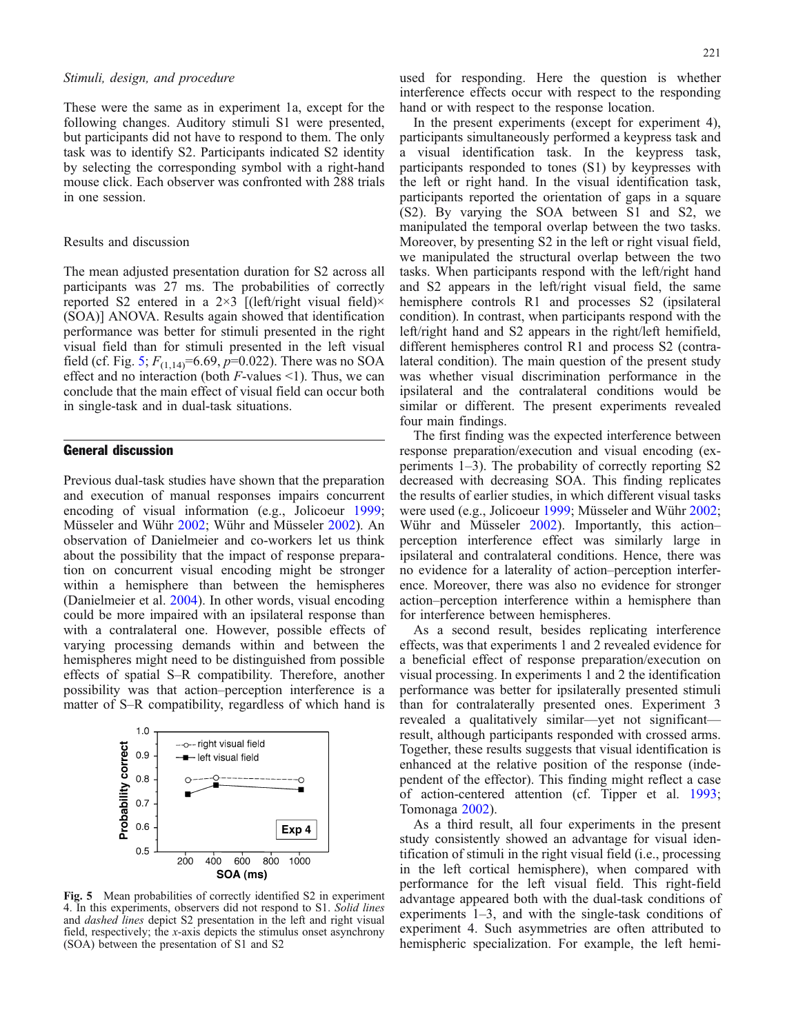## Stimuli, design, and procedure

These were the same as in experiment 1a, except for the following changes. Auditory stimuli S1 were presented, but participants did not have to respond to them. The only task was to identify S2. Participants indicated S2 identity by selecting the corresponding symbol with a right-hand mouse click. Each observer was confronted with 288 trials in one session.

#### Results and discussion

The mean adjusted presentation duration for S2 across all participants was 27 ms. The probabilities of correctly reported S2 entered in a  $2\times3$  [(left/right visual field) $\times$ (SOA)] ANOVA. Results again showed that identification performance was better for stimuli presented in the right visual field than for stimuli presented in the left visual field (cf. Fig. 5;  $F_{(1,14)} = 6.69$ ,  $p=0.022$ ). There was no SOA effect and no interaction (both  $F$ -values <1). Thus, we can conclude that the main effect of visual field can occur both in single-task and in dual-task situations.

# General discussion

Previous dual-task studies have shown that the preparation and execution of manual responses impairs concurrent encoding of visual information (e.g., Jolicoeur [1999](#page-8-0); Müsseler and Wühr [2002;](#page-8-0) Wühr and Müsseler [2002\)](#page-8-0). An observation of Danielmeier and co-workers let us think about the possibility that the impact of response preparation on concurrent visual encoding might be stronger within a hemisphere than between the hemispheres (Danielmeier et al. [2004](#page-8-0)). In other words, visual encoding could be more impaired with an ipsilateral response than with a contralateral one. However, possible effects of varying processing demands within and between the hemispheres might need to be distinguished from possible effects of spatial S–R compatibility. Therefore, another possibility was that action–perception interference is a matter of S–R compatibility, regardless of which hand is



Fig. 5 Mean probabilities of correctly identified S2 in experiment 4. In this experiments, observers did not respond to S1. Solid lines and dashed lines depict S2 presentation in the left and right visual field, respectively; the x-axis depicts the stimulus onset asynchrony (SOA) between the presentation of S1 and S2

used for responding. Here the question is whether interference effects occur with respect to the responding hand or with respect to the response location.

In the present experiments (except for experiment 4), participants simultaneously performed a keypress task and a visual identification task. In the keypress task, participants responded to tones (S1) by keypresses with the left or right hand. In the visual identification task, participants reported the orientation of gaps in a square (S2). By varying the SOA between S1 and S2, we manipulated the temporal overlap between the two tasks. Moreover, by presenting S2 in the left or right visual field, we manipulated the structural overlap between the two tasks. When participants respond with the left/right hand and S2 appears in the left/right visual field, the same hemisphere controls R1 and processes S2 (ipsilateral condition). In contrast, when participants respond with the left/right hand and S2 appears in the right/left hemifield, different hemispheres control R1 and process S2 (contralateral condition). The main question of the present study was whether visual discrimination performance in the ipsilateral and the contralateral conditions would be similar or different. The present experiments revealed four main findings.

The first finding was the expected interference between response preparation/execution and visual encoding (experiments 1–3). The probability of correctly reporting S2 decreased with decreasing SOA. This finding replicates the results of earlier studies, in which different visual tasks were used (e.g., Jolicoeur [1999](#page-8-0); Müsseler and Wühr [2002](#page-8-0); Wühr and Müsseler [2002\)](#page-8-0). Importantly, this actionperception interference effect was similarly large in ipsilateral and contralateral conditions. Hence, there was no evidence for a laterality of action–perception interference. Moreover, there was also no evidence for stronger action–perception interference within a hemisphere than for interference between hemispheres.

As a second result, besides replicating interference effects, was that experiments 1 and 2 revealed evidence for a beneficial effect of response preparation/execution on visual processing. In experiments 1 and 2 the identification performance was better for ipsilaterally presented stimuli than for contralaterally presented ones. Experiment 3 revealed a qualitatively similar—yet not significant result, although participants responded with crossed arms. Together, these results suggests that visual identification is enhanced at the relative position of the response (independent of the effector). This finding might reflect a case of action-centered attention (cf. Tipper et al. [1993](#page-8-0); Tomonaga [2002\)](#page-8-0).

As a third result, all four experiments in the present study consistently showed an advantage for visual identification of stimuli in the right visual field (i.e., processing in the left cortical hemisphere), when compared with performance for the left visual field. This right-field advantage appeared both with the dual-task conditions of experiments 1–3, and with the single-task conditions of experiment 4. Such asymmetries are often attributed to hemispheric specialization. For example, the left hemi